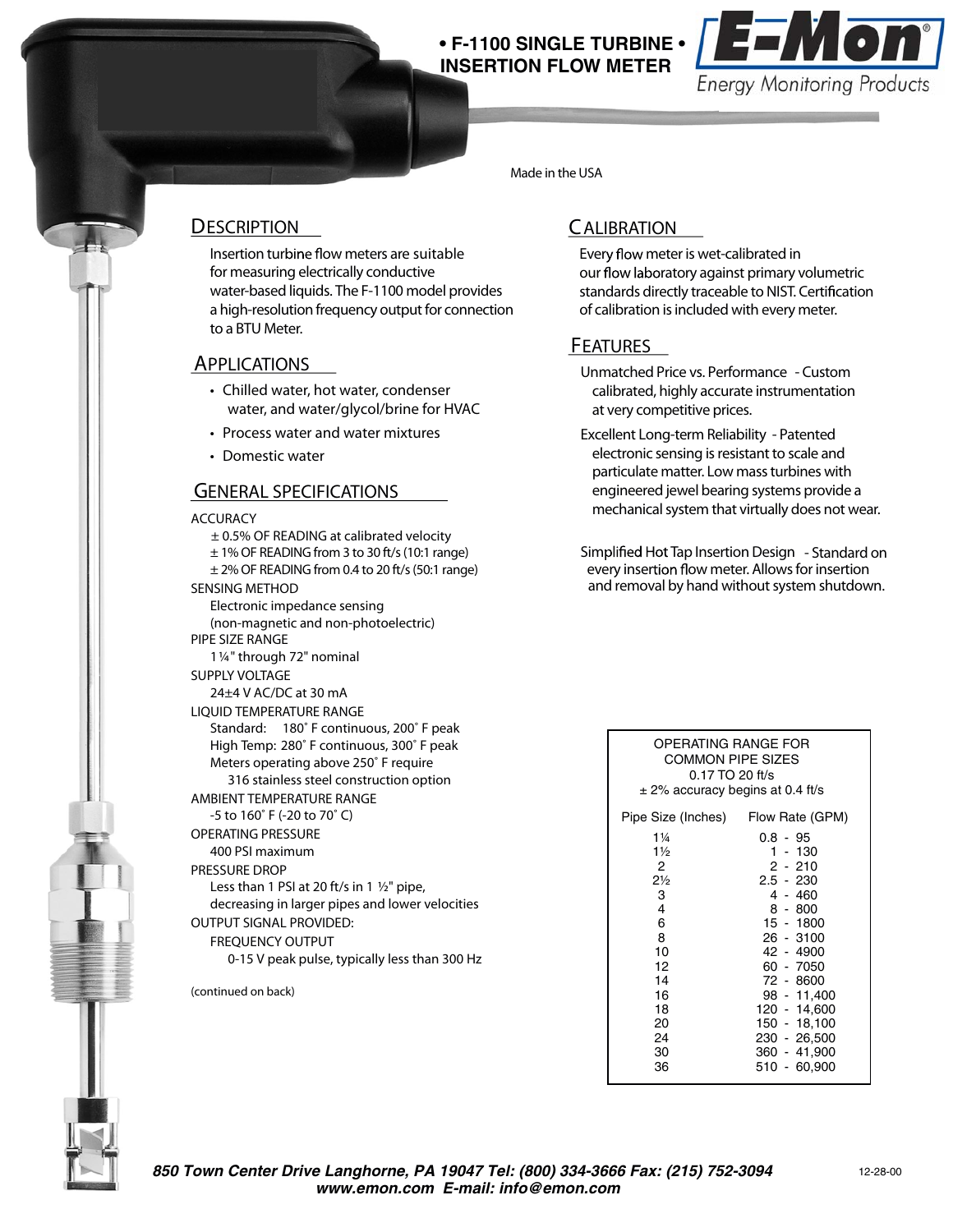# **INSERTION FLOW METER**



Made in the USA

#### **DESCRIPTION**

Insertion turbine flow meters are suitable for measuring electrically conductive water-based liquids. The F-1100 model provides a high-resolution frequency output for connection to a BTU Meter.

#### **APPLICATIONS**

- Chilled water, hot water, condenser water, and water/glycol/brine for HVAC
- Process water and water mixtures
- Domestic water

#### **GENERAL SPECIFICATIONS**

#### **ACCURACY**

- ± 0.5% OF READING at calibrated velocity
- ± 1% OF READING from 3 to 30 ft/s (10:1 range)
- $\pm$  2% OF READING from 0.4 to 20 ft/s (50:1 range) **SENSING METHOD**
	- Electronic impedance sensing (non-magnetic and non-photoelectric)
- **PIPE SIZE RANGE**
- 1 ¼" through 72" nominal
- **SUPPLY VOLTAGE**
- 24±4 V AC/DC at 30 mA
- **LIQUID TEMPERATURE RANGE** Standard: 180˚ F continuous, 200˚ F peak
	- High Temp: 280˚ F continuous, 300˚ F peak Meters operating above 250˚ F require
	- 316 stainless steel construction option
- **AMBIENT TEMPERATURE RANGE**

### -5 to 160˚ F (-20 to 70˚ C)

- **OPERATING PRESSURE** 400 PSI maximum
- **PRESSURE DROP**
- 
- Less than 1 PSI at 20 ft/s in 1  $1/2$ " pipe, decreasing in larger pipes and lower velocities
- **OUTPUT SIGNAL PROVIDED:**
- **FREQUENCY OUTPUT**
	- 0-15 V peak pulse, typically less than 300 Hz

(continued on back)

### **CALIBRATION**

Every flow meter is wet-calibrated in our flow laboratory against primary volumetric standards directly traceable to NIST. Certification of calibration is included with every meter.

## **FEATURES**

- **Unmatched Price vs. Performance** Custom calibrated, highly accurate instrumentation at very competitive prices.
- **Excellent Long-term Reliability** Patented electronic sensing is resistant to scale and particulate matter. Low mass turbines with engineered jewel bearing systems provide a mechanical system that virtually does not wear.
- Simplified Hot Tap Insertion Design Standard on every insertion flow meter. Allows for insertion and removal by hand without system shutdown.

| OPERATING RANGE FOR<br>COMMON PIPE SIZES<br>$0.17$ TO 20 ft/s<br>$\pm$ 2% accuracy begins at 0.4 ft/s                                          |                                                                                                                                                                                                                                           |  |
|------------------------------------------------------------------------------------------------------------------------------------------------|-------------------------------------------------------------------------------------------------------------------------------------------------------------------------------------------------------------------------------------------|--|
| Pipe Size (Inches)                                                                                                                             | Flow Rate (GPM)                                                                                                                                                                                                                           |  |
| $1\frac{1}{4}$<br>$1\frac{1}{2}$<br>2<br>$2\frac{1}{2}$<br>3<br>$\overline{4}$<br>6<br>8<br>10<br>12<br>14<br>16<br>18<br>20<br>24<br>30<br>36 | 0.8 - 95<br>1 - 130<br>$2 - 210$<br>$2.5 - 230$<br>4 - 460<br>$8 - 800$<br>$15 - 1800$<br>26 - 3100<br>42 - 4900<br>60 - 7050<br>72 - 8600<br>98 - 11,400<br>120 - 14,600<br>150 - 18.100<br>230 - 26.500<br>360 - 41,900<br>510 - 60.900 |  |